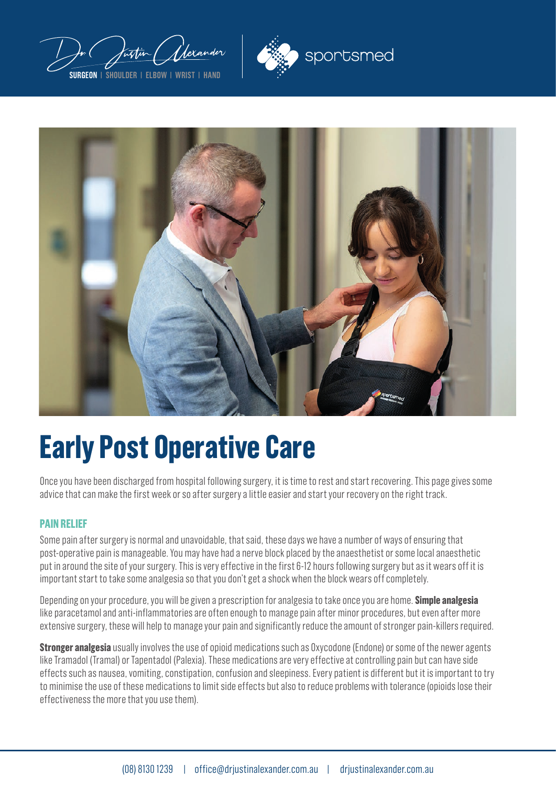





# **Early Post Operative Care**

Once you have been discharged from hospital following surgery, it is time to rest and start recovering. This page gives some advice that can make the first week or so after surgery a little easier and start your recovery on the right track.

#### **PAIN RELIEF**

Some pain after surgery is normal and unavoidable, that said, these days we have a number of ways of ensuring that post-operative pain is manageable. You may have had a nerve block placed by the anaesthetist or some local anaesthetic put in around the site of your surgery. This is very effective in the first 6-12 hours following surgery but as it wears off it is important start to take some analgesia so that you don't get a shock when the block wears off completely.

Depending on your procedure, you will be given a prescription for analgesia to take once you are home. **Simple analgesia** like paracetamol and anti-inflammatories are often enough to manage pain after minor procedures, but even after more extensive surgery, these will help to manage your pain and significantly reduce the amount of stronger pain-killers required.

**Stronger analgesia** usually involves the use of opioid medications such as Oxycodone (Endone) or some of the newer agents like Tramadol (Tramal) or Tapentadol (Palexia). These medications are very effective at controlling pain but can have side effects such as nausea, vomiting, constipation, confusion and sleepiness. Every patient is different but it is important to try to minimise the use of these medications to limit side effects but also to reduce problems with tolerance (opioids lose their effectiveness the more that you use them).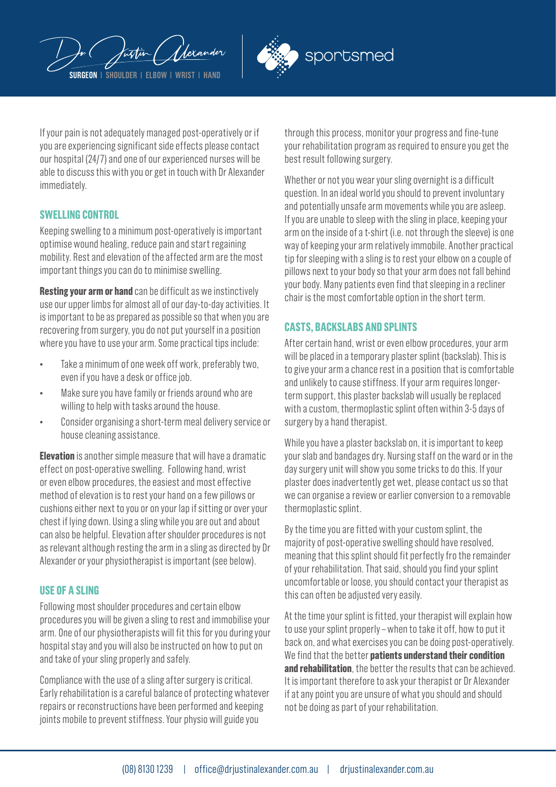



If your pain is not adequately managed post-operatively or if you are experiencing significant side effects please contact our hospital (24/7) and one of our experienced nurses will be able to discuss this with you or get in touch with Dr Alexander immediately.

#### **SWELLING CONTROL**

Keeping swelling to a minimum post-operatively is important optimise wound healing, reduce pain and start regaining mobility. Rest and elevation of the affected arm are the most important things you can do to minimise swelling.

**Resting your arm or hand** can be difficult as we instinctively use our upper limbs for almost all of our day-to-day activities. It is important to be as prepared as possible so that when you are recovering from surgery, you do not put yourself in a position where you have to use your arm. Some practical tips include:

- Take a minimum of one week off work, preferably two, even if you have a desk or office job.
- Make sure you have family or friends around who are willing to help with tasks around the house.
- Consider organising a short-term meal delivery service or house cleaning assistance.

**Elevation** is another simple measure that will have a dramatic effect on post-operative swelling. Following hand, wrist or even elbow procedures, the easiest and most effective method of elevation is to rest your hand on a few pillows or cushions either next to you or on your lap if sitting or over your chest if lying down. Using a sling while you are out and about can also be helpful. Elevation after shoulder procedures is not as relevant although resting the arm in a sling as directed by Dr Alexander or your physiotherapist is important (see below).

#### **USE OF A SLING**

Following most shoulder procedures and certain elbow procedures you will be given a sling to rest and immobilise your arm. One of our physiotherapists will fit this for you during your hospital stay and you will also be instructed on how to put on and take of your sling properly and safely.

Compliance with the use of a sling after surgery is critical. Early rehabilitation is a careful balance of protecting whatever repairs or reconstructions have been performed and keeping joints mobile to prevent stiffness. Your physio will guide you

through this process, monitor your progress and fine-tune your rehabilitation program as required to ensure you get the best result following surgery.

Whether or not you wear your sling overnight is a difficult question. In an ideal world you should to prevent involuntary and potentially unsafe arm movements while you are asleep. If you are unable to sleep with the sling in place, keeping your arm on the inside of a t-shirt (i.e. not through the sleeve) is one way of keeping your arm relatively immobile. Another practical tip for sleeping with a sling is to rest your elbow on a couple of pillows next to your body so that your arm does not fall behind your body. Many patients even find that sleeping in a recliner chair is the most comfortable option in the short term.

## **CASTS, BACKSLABS AND SPLINTS**

After certain hand, wrist or even elbow procedures, your arm will be placed in a temporary plaster splint (backslab). This is to give your arm a chance rest in a position that is comfortable and unlikely to cause stiffness. If your arm requires longerterm support, this plaster backslab will usually be replaced with a custom, thermoplastic splint often within 3-5 days of surgery by a hand therapist.

While you have a plaster backslab on, it is important to keep your slab and bandages dry. Nursing staff on the ward or in the day surgery unit will show you some tricks to do this. If your plaster does inadvertently get wet, please contact us so that we can organise a review or earlier conversion to a removable thermoplastic splint.

By the time you are fitted with your custom splint, the majority of post-operative swelling should have resolved, meaning that this splint should fit perfectly fro the remainder of your rehabilitation. That said, should you find your splint uncomfortable or loose, you should contact your therapist as this can often be adjusted very easily.

At the time your splint is fitted, your therapist will explain how to use your splint properly – when to take it off, how to put it back on, and what exercises you can be doing post-operatively. We find that the better **patients understand their condition and rehabilitation**, the better the results that can be achieved. It is important therefore to ask your therapist or Dr Alexander if at any point you are unsure of what you should and should not be doing as part of your rehabilitation.